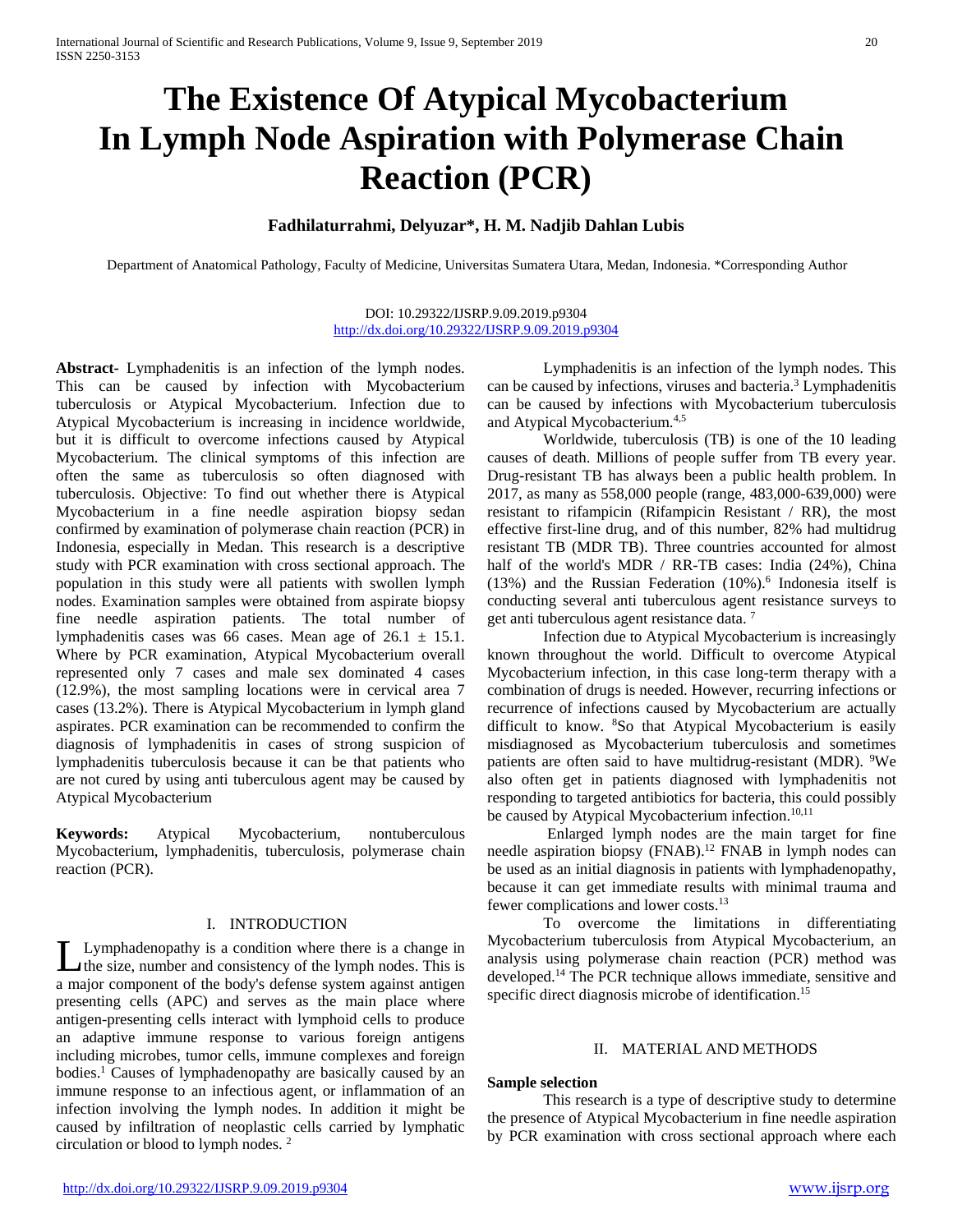# **The Existence Of Atypical Mycobacterium In Lymph Node Aspiration with Polymerase Chain Reaction (PCR)**

## **Fadhilaturrahmi, Delyuzar\*, H. M. Nadjib Dahlan Lubis**

Department of Anatomical Pathology, Faculty of Medicine, Universitas Sumatera Utara, Medan, Indonesia. \*Corresponding Author

DOI: 10.29322/IJSRP.9.09.2019.p9304 <http://dx.doi.org/10.29322/IJSRP.9.09.2019.p9304>

**Abstract-** Lymphadenitis is an infection of the lymph nodes. This can be caused by infection with Mycobacterium tuberculosis or Atypical Mycobacterium. Infection due to Atypical Mycobacterium is increasing in incidence worldwide, but it is difficult to overcome infections caused by Atypical Mycobacterium. The clinical symptoms of this infection are often the same as tuberculosis so often diagnosed with tuberculosis. Objective: To find out whether there is Atypical Mycobacterium in a fine needle aspiration biopsy sedan confirmed by examination of polymerase chain reaction (PCR) in Indonesia, especially in Medan. This research is a descriptive study with PCR examination with cross sectional approach. The population in this study were all patients with swollen lymph nodes. Examination samples were obtained from aspirate biopsy fine needle aspiration patients. The total number of lymphadenitis cases was 66 cases. Mean age of  $26.1 \pm 15.1$ . Where by PCR examination, Atypical Mycobacterium overall represented only 7 cases and male sex dominated 4 cases (12.9%), the most sampling locations were in cervical area 7 cases (13.2%). There is Atypical Mycobacterium in lymph gland aspirates. PCR examination can be recommended to confirm the diagnosis of lymphadenitis in cases of strong suspicion of lymphadenitis tuberculosis because it can be that patients who are not cured by using anti tuberculous agent may be caused by Atypical Mycobacterium

**Keywords:** Atypical Mycobacterium, nontuberculous Mycobacterium, lymphadenitis, tuberculosis, polymerase chain reaction (PCR).

#### I. INTRODUCTION

Lymphadenopathy is a condition where there is a change in the size, number and consistency of the lymph nodes. This is Lymphadenopathy is a condition where there is a change in the size, number and consistency of the lymph nodes. This is a major component of the body's defense system against antigen presenting cells (APC) and serves as the main place where antigen-presenting cells interact with lymphoid cells to produce an adaptive immune response to various foreign antigens including microbes, tumor cells, immune complexes and foreign bodies.<sup>1</sup> Causes of lymphadenopathy are basically caused by an immune response to an infectious agent, or inflammation of an infection involving the lymph nodes. In addition it might be caused by infiltration of neoplastic cells carried by lymphatic circulation or blood to lymph nodes. 2

Lymphadenitis is an infection of the lymph nodes. This can be caused by infections, viruses and bacteria.<sup>3</sup> Lymphadenitis can be caused by infections with Mycobacterium tuberculosis and Atypical Mycobacterium.4,5

Worldwide, tuberculosis (TB) is one of the 10 leading causes of death. Millions of people suffer from TB every year. Drug-resistant TB has always been a public health problem. In 2017, as many as 558,000 people (range, 483,000-639,000) were resistant to rifampicin (Rifampicin Resistant / RR), the most effective first-line drug, and of this number, 82% had multidrug resistant TB (MDR TB). Three countries accounted for almost half of the world's MDR / RR-TB cases: India (24%), China (13%) and the Russian Federation (10%). <sup>6</sup> Indonesia itself is conducting several anti tuberculous agent resistance surveys to get anti tuberculous agent resistance data. 7

Infection due to Atypical Mycobacterium is increasingly known throughout the world. Difficult to overcome Atypical Mycobacterium infection, in this case long-term therapy with a combination of drugs is needed. However, recurring infections or recurrence of infections caused by Mycobacterium are actually difficult to know. <sup>8</sup>So that Atypical Mycobacterium is easily misdiagnosed as Mycobacterium tuberculosis and sometimes patients are often said to have multidrug-resistant (MDR). <sup>9</sup>We also often get in patients diagnosed with lymphadenitis not responding to targeted antibiotics for bacteria, this could possibly be caused by Atypical Mycobacterium infection.<sup>10,11</sup>

Enlarged lymph nodes are the main target for fine needle aspiration biopsy (FNAB).12 FNAB in lymph nodes can be used as an initial diagnosis in patients with lymphadenopathy, because it can get immediate results with minimal trauma and fewer complications and lower costs.13

To overcome the limitations in differentiating Mycobacterium tuberculosis from Atypical Mycobacterium, an analysis using polymerase chain reaction (PCR) method was developed.14 The PCR technique allows immediate, sensitive and specific direct diagnosis microbe of identification.<sup>15</sup>

#### II. MATERIAL AND METHODS

#### **Sample selection**

This research is a type of descriptive study to determine the presence of Atypical Mycobacterium in fine needle aspiration by PCR examination with cross sectional approach where each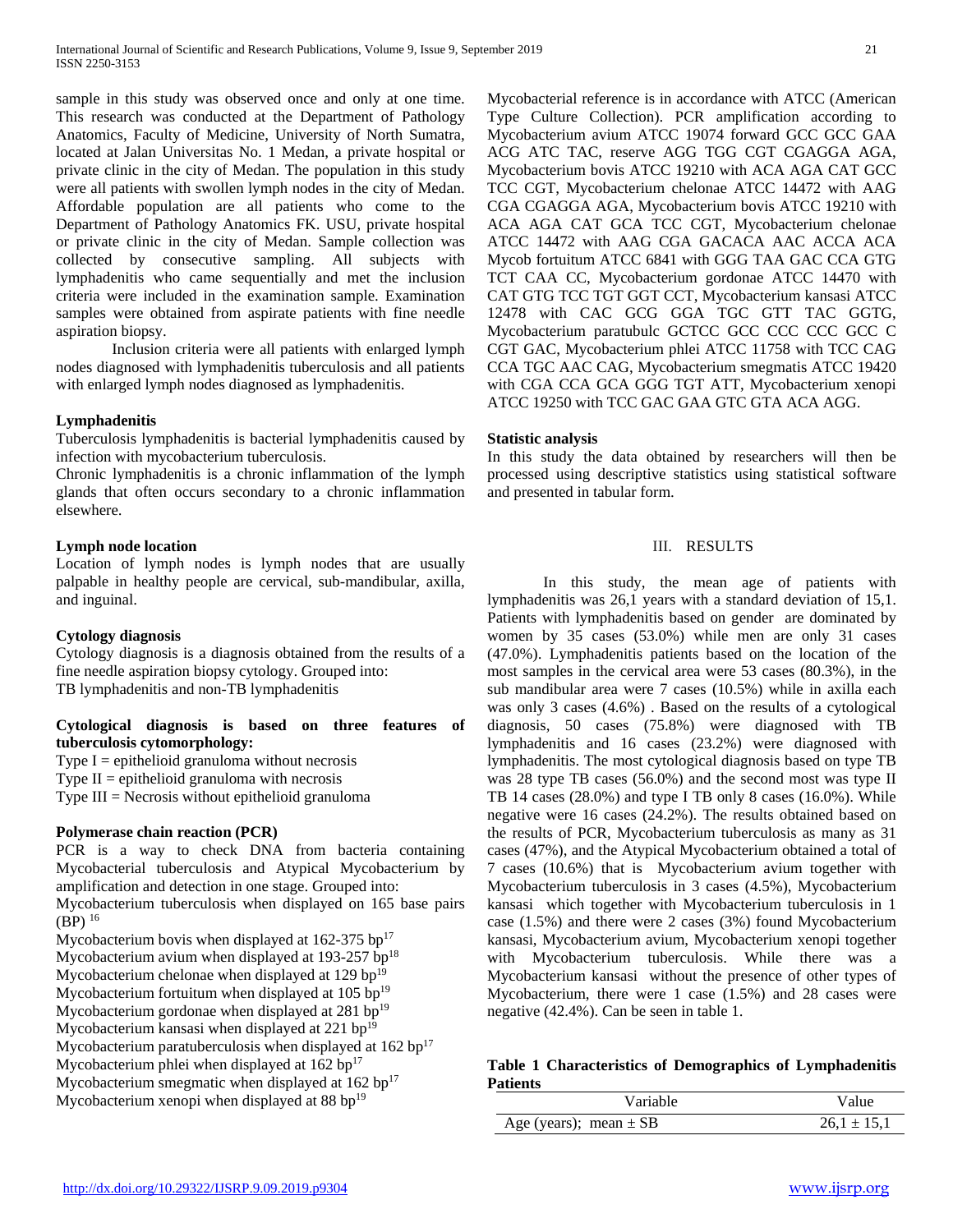sample in this study was observed once and only at one time. This research was conducted at the Department of Pathology Anatomics, Faculty of Medicine, University of North Sumatra, located at Jalan Universitas No. 1 Medan, a private hospital or private clinic in the city of Medan. The population in this study were all patients with swollen lymph nodes in the city of Medan. Affordable population are all patients who come to the Department of Pathology Anatomics FK. USU, private hospital or private clinic in the city of Medan. Sample collection was collected by consecutive sampling. All subjects with lymphadenitis who came sequentially and met the inclusion criteria were included in the examination sample. Examination samples were obtained from aspirate patients with fine needle aspiration biopsy.

Inclusion criteria were all patients with enlarged lymph nodes diagnosed with lymphadenitis tuberculosis and all patients with enlarged lymph nodes diagnosed as lymphadenitis.

## **Lymphadenitis**

Tuberculosis lymphadenitis is bacterial lymphadenitis caused by infection with mycobacterium tuberculosis.

Chronic lymphadenitis is a chronic inflammation of the lymph glands that often occurs secondary to a chronic inflammation elsewhere.

## **Lymph node location**

Location of lymph nodes is lymph nodes that are usually palpable in healthy people are cervical, sub-mandibular, axilla, and inguinal.

## **Cytology diagnosis**

Cytology diagnosis is a diagnosis obtained from the results of a fine needle aspiration biopsy cytology. Grouped into: TB lymphadenitis and non-TB lymphadenitis

## **Cytological diagnosis is based on three features of tuberculosis cytomorphology:**

Type  $I =$  epithelioid granuloma without necrosis

Type  $II =$  epithelioid granuloma with necrosis

Type III = Necrosis without epithelioid granuloma

## **Polymerase chain reaction (PCR)**

PCR is a way to check DNA from bacteria containing Mycobacterial tuberculosis and Atypical Mycobacterium by amplification and detection in one stage. Grouped into: Mycobacterium tuberculosis when displayed on 165 base pairs  $(BP)^{16}$ Mycobacterium bovis when displayed at  $162-375$  bp<sup>17</sup> Mycobacterium avium when displayed at 193-257 bp<sup>18</sup> Mycobacterium chelonae when displayed at  $129$  bp<sup>19</sup> Mycobacterium fortuitum when displayed at  $105$  bp<sup>19</sup> Mycobacterium gordonae when displayed at  $281$  bp<sup>19</sup> Mycobacterium kansasi when displayed at  $221$  bp<sup>19</sup> Mycobacterium paratuberculosis when displayed at  $162$  bp<sup>17</sup> Mycobacterium phlei when displayed at 162 bp<sup>17</sup>

Mycobacterium smegmatic when displayed at  $162$  bp<sup>17</sup> Mycobacterium xenopi when displayed at 88 bp $19$ 

Mycobacterial reference is in accordance with ATCC (American Type Culture Collection). PCR amplification according to Mycobacterium avium ATCC 19074 forward GCC GCC GAA ACG ATC TAC, reserve AGG TGG CGT CGAGGA AGA, Mycobacterium bovis ATCC 19210 with ACA AGA CAT GCC TCC CGT, Mycobacterium chelonae ATCC 14472 with AAG CGA CGAGGA AGA, Mycobacterium bovis ATCC 19210 with ACA AGA CAT GCA TCC CGT, Mycobacterium chelonae ATCC 14472 with AAG CGA GACACA AAC ACCA ACA Mycob fortuitum ATCC 6841 with GGG TAA GAC CCA GTG TCT CAA CC, Mycobacterium gordonae ATCC 14470 with CAT GTG TCC TGT GGT CCT, Mycobacterium kansasi ATCC 12478 with CAC GCG GGA TGC GTT TAC GGTG, Mycobacterium paratubulc GCTCC GCC CCC CCC GCC C CGT GAC, Mycobacterium phlei ATCC 11758 with TCC CAG CCA TGC AAC CAG, Mycobacterium smegmatis ATCC 19420 with CGA CCA GCA GGG TGT ATT, Mycobacterium xenopi ATCC 19250 with TCC GAC GAA GTC GTA ACA AGG.

## **Statistic analysis**

In this study the data obtained by researchers will then be processed using descriptive statistics using statistical software and presented in tabular form.

## III. RESULTS

In this study, the mean age of patients with lymphadenitis was 26,1 years with a standard deviation of 15,1. Patients with lymphadenitis based on gender are dominated by women by 35 cases (53.0%) while men are only 31 cases (47.0%). Lymphadenitis patients based on the location of the most samples in the cervical area were 53 cases (80.3%), in the sub mandibular area were 7 cases (10.5%) while in axilla each was only 3 cases (4.6%) . Based on the results of a cytological diagnosis, 50 cases (75.8%) were diagnosed with TB lymphadenitis and 16 cases (23.2%) were diagnosed with lymphadenitis. The most cytological diagnosis based on type TB was 28 type TB cases (56.0%) and the second most was type II TB 14 cases (28.0%) and type I TB only 8 cases (16.0%). While negative were 16 cases (24.2%). The results obtained based on the results of PCR, Mycobacterium tuberculosis as many as 31 cases (47%), and the Atypical Mycobacterium obtained a total of 7 cases (10.6%) that is Mycobacterium avium together with Mycobacterium tuberculosis in 3 cases (4.5%), Mycobacterium kansasi which together with Mycobacterium tuberculosis in 1 case (1.5%) and there were 2 cases (3%) found Mycobacterium kansasi, Mycobacterium avium, Mycobacterium xenopi together with Mycobacterium tuberculosis. While there was a Mycobacterium kansasi without the presence of other types of Mycobacterium, there were 1 case (1.5%) and 28 cases were negative (42.4%). Can be seen in table 1.

## **Table 1 Characteristics of Demographics of Lymphadenitis Patients**

| Variable                   | Value           |
|----------------------------|-----------------|
| Age (years); mean $\pm$ SB | $26.1 \pm 15.1$ |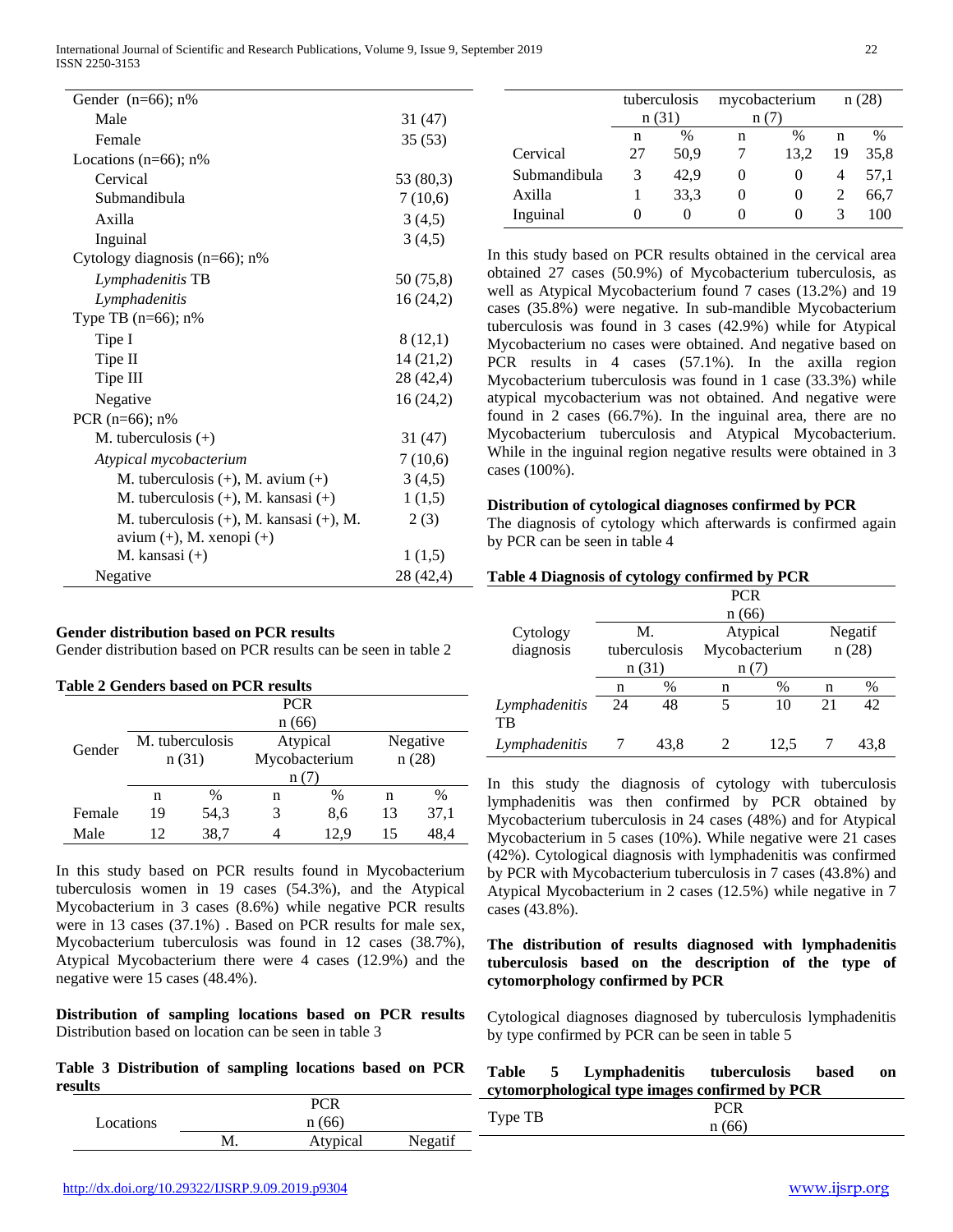International Journal of Scientific and Research Publications, Volume 9, Issue 9, September 2019 22 ISSN 2250-3153

| Gender $(n=66)$ ; n%                          |           |
|-----------------------------------------------|-----------|
| Male                                          | 31 (47)   |
| Female                                        | 35(53)    |
| Locations ( $n=66$ ); $n\%$                   |           |
| Cervical                                      | 53 (80,3) |
| Submandibula                                  | 7(10,6)   |
| Axilla                                        | 3(4,5)    |
| Inguinal                                      | 3(4,5)    |
| Cytology diagnosis $(n=66)$ ; n%              |           |
| Lymphadenitis TB                              | 50 (75,8) |
| Lymphadenitis                                 | 16(24,2)  |
| Type TB $(n=66)$ ; n%                         |           |
| Tipe I                                        | 8(12,1)   |
| Tipe II                                       | 14(21,2)  |
| Tipe III                                      | 28 (42,4) |
| Negative                                      | 16(24,2)  |
| PCR $(n=66)$ ; n%                             |           |
| M. tuberculosis $(+)$                         | 31 (47)   |
| Atypical mycobacterium                        | 7(10,6)   |
| M. tuberculosis $(+)$ , M. avium $(+)$        | 3(4,5)    |
| M. tuberculosis $(+)$ , M. kansasi $(+)$      | 1(1,5)    |
| M. tuberculosis $(+)$ , M. kansasi $(+)$ , M. | 2(3)      |
| $avium (+)$ , M. xenopi $(+)$                 |           |
| M. kansasi (+)                                | 1(1,5)    |
| Negative                                      | 28 (42,4) |

#### **Gender distribution based on PCR results**

Gender distribution based on PCR results can be seen in table 2

| <b>Table 2 Genders based on PCR results</b> |                 |       |               |      |          |      |  |  |
|---------------------------------------------|-----------------|-------|---------------|------|----------|------|--|--|
|                                             |                 |       | <b>PCR</b>    |      |          |      |  |  |
|                                             |                 | n(66) |               |      |          |      |  |  |
| Gender                                      | M. tuberculosis |       | Atypical      |      | Negative |      |  |  |
|                                             | n(31)           |       | Mycobacterium |      | n(28)    |      |  |  |
| n(7)                                        |                 |       |               |      |          |      |  |  |
|                                             | n               | $\%$  | n             | %    | n        | $\%$ |  |  |
| Female                                      | 19              | 54,3  | 3             | 8,6  | 13       | 37,1 |  |  |
| Male                                        | 12              | 38,7  | 4             | 12.9 | 15       | 48,4 |  |  |

In this study based on PCR results found in Mycobacterium tuberculosis women in 19 cases (54.3%), and the Atypical Mycobacterium in 3 cases (8.6%) while negative PCR results were in 13 cases (37.1%) . Based on PCR results for male sex, Mycobacterium tuberculosis was found in 12 cases (38.7%), Atypical Mycobacterium there were 4 cases (12.9%) and the negative were 15 cases (48.4%).

**Distribution of sampling locations based on PCR results** Distribution based on location can be seen in table 3

**Table 3 Distribution of sampling locations based on PCR results**

|           | PCR      |         |
|-----------|----------|---------|
| Locations | n(66)    |         |
|           | Atypical | Negatif |

|              | tuberculosis<br>n(31) |               | mycobacterium<br>n(7) |      | n(28) |      |
|--------------|-----------------------|---------------|-----------------------|------|-------|------|
|              | n                     | $\frac{0}{0}$ | n                     | %    | n     | $\%$ |
| Cervical     | 27                    | 50,9          |                       | 13.2 | 19    | 35,8 |
| Submandibula | 3                     | 42,9          | 0                     |      | 4     | 57.1 |
| Axilla       |                       | 33.3          | 0                     |      |       | 66,7 |
| Inguinal     | 0                     |               |                       |      |       | 100  |

In this study based on PCR results obtained in the cervical area obtained 27 cases (50.9%) of Mycobacterium tuberculosis, as well as Atypical Mycobacterium found 7 cases (13.2%) and 19 cases (35.8%) were negative. In sub-mandible Mycobacterium tuberculosis was found in 3 cases (42.9%) while for Atypical Mycobacterium no cases were obtained. And negative based on PCR results in 4 cases (57.1%). In the axilla region Mycobacterium tuberculosis was found in 1 case (33.3%) while atypical mycobacterium was not obtained. And negative were found in 2 cases (66.7%). In the inguinal area, there are no Mycobacterium tuberculosis and Atypical Mycobacterium. While in the inguinal region negative results were obtained in 3 cases (100%).

#### **Distribution of cytological diagnoses confirmed by PCR**

The diagnosis of cytology which afterwards is confirmed again by PCR can be seen in table 4

|                     | Table 4 Diagnosis of cytology confirmed by PCR |       |               |          |       |         |  |  |
|---------------------|------------------------------------------------|-------|---------------|----------|-------|---------|--|--|
|                     |                                                |       | <b>PCR</b>    |          |       |         |  |  |
|                     |                                                | n(66) |               |          |       |         |  |  |
| Cytology            |                                                | М.    |               | Atypical |       | Negatif |  |  |
| diagnosis           | tuberculosis                                   |       | Mycobacterium |          | n(28) |         |  |  |
|                     | n(31)                                          |       | n(7)          |          |       |         |  |  |
|                     | n                                              | $\%$  | n             | $\%$     | n     | %       |  |  |
| Lymphadenitis<br>TB | 24                                             | 48    | 5             | 10       | 21    | 42      |  |  |
| Lymphadenitis       |                                                | 43.8  |               | 12.5     |       | 43.8    |  |  |

In this study the diagnosis of cytology with tuberculosis lymphadenitis was then confirmed by PCR obtained by Mycobacterium tuberculosis in 24 cases (48%) and for Atypical Mycobacterium in 5 cases (10%). While negative were 21 cases (42%). Cytological diagnosis with lymphadenitis was confirmed by PCR with Mycobacterium tuberculosis in 7 cases (43.8%) and Atypical Mycobacterium in 2 cases (12.5%) while negative in 7 cases (43.8%).

## **The distribution of results diagnosed with lymphadenitis tuberculosis based on the description of the type of cytomorphology confirmed by PCR**

Cytological diagnoses diagnosed by tuberculosis lymphadenitis by type confirmed by PCR can be seen in table 5

| Table | Lymphadenitis                                  | tuberculosis | based | on |
|-------|------------------------------------------------|--------------|-------|----|
|       | cytomorphological type images confirmed by PCR |              |       |    |

|   | $T_{\text{rms}}$                  | ___<br>ັ້                    |  |
|---|-----------------------------------|------------------------------|--|
|   | $\overline{\phantom{0}}$<br>$+J1$ | $\mathbf{r}$<br>п.<br>$\sim$ |  |
| r |                                   |                              |  |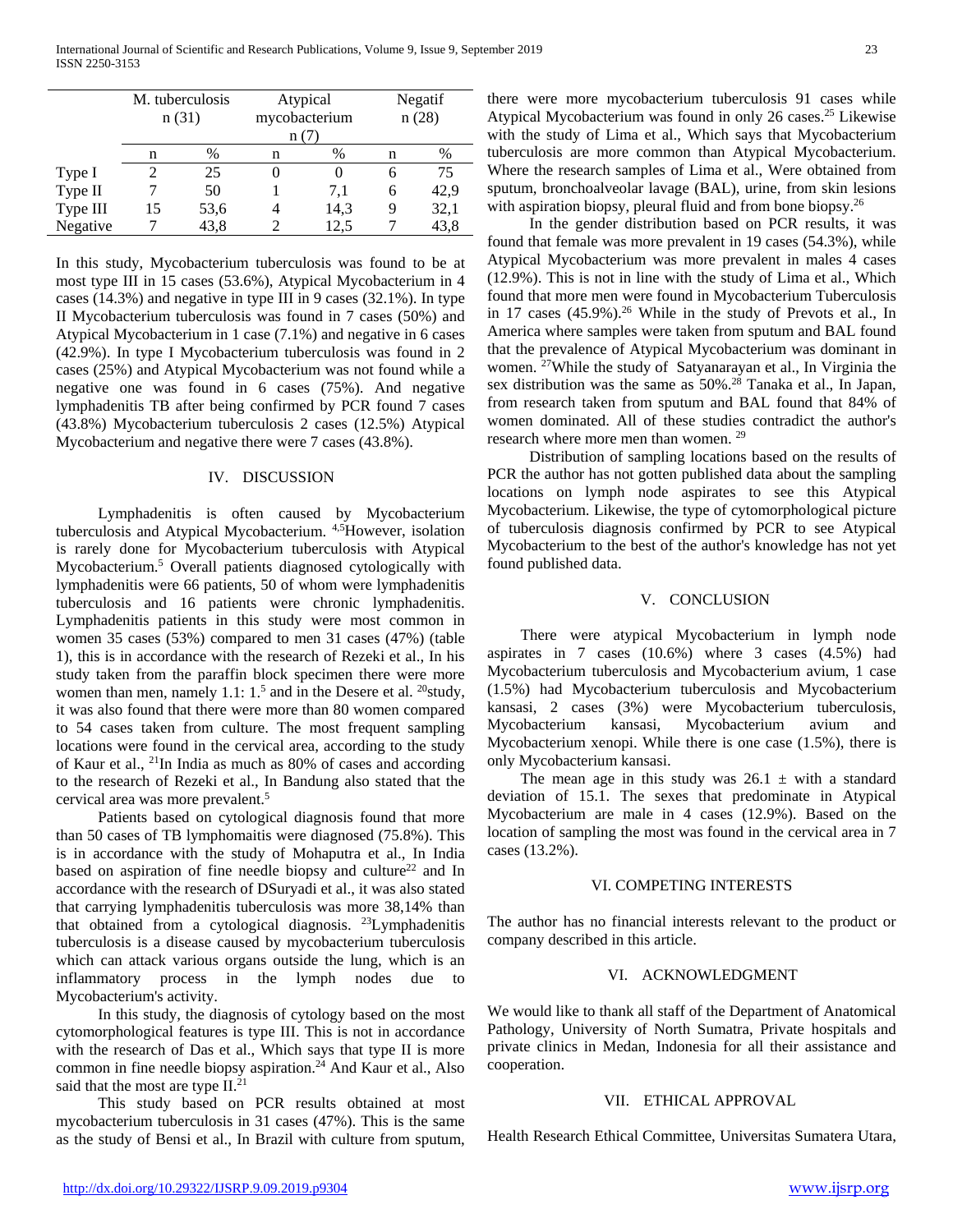|          | M. tuberculosis |      |   | Atypical      |   | Negatif |  |
|----------|-----------------|------|---|---------------|---|---------|--|
|          | n(31)           |      |   | mycobacterium |   | n(28)   |  |
|          |                 |      |   |               |   |         |  |
|          | n               | $\%$ | n | %             | n | %       |  |
| Type I   |                 | 25   |   |               | 6 | 75      |  |
| Type II  |                 | 50   |   | 7.1           | 6 | 42,9    |  |
| Type III | 15              | 53,6 |   | 14,3          | q | 32,1    |  |
| Negative |                 | 43,8 |   | 12.5          |   | 43,8    |  |

In this study, Mycobacterium tuberculosis was found to be at most type III in 15 cases (53.6%), Atypical Mycobacterium in 4 cases (14.3%) and negative in type III in 9 cases (32.1%). In type II Mycobacterium tuberculosis was found in 7 cases (50%) and Atypical Mycobacterium in 1 case (7.1%) and negative in 6 cases (42.9%). In type I Mycobacterium tuberculosis was found in 2 cases (25%) and Atypical Mycobacterium was not found while a negative one was found in 6 cases (75%). And negative lymphadenitis TB after being confirmed by PCR found 7 cases (43.8%) Mycobacterium tuberculosis 2 cases (12.5%) Atypical Mycobacterium and negative there were 7 cases (43.8%).

#### IV. DISCUSSION

Lymphadenitis is often caused by Mycobacterium tuberculosis and Atypical Mycobacterium. <sup>4,5</sup>However, isolation is rarely done for Mycobacterium tuberculosis with Atypical Mycobacterium.<sup>5</sup> Overall patients diagnosed cytologically with lymphadenitis were 66 patients, 50 of whom were lymphadenitis tuberculosis and 16 patients were chronic lymphadenitis. Lymphadenitis patients in this study were most common in women 35 cases (53%) compared to men 31 cases (47%) (table 1), this is in accordance with the research of Rezeki et al., In his study taken from the paraffin block specimen there were more women than men, namely 1.1: 1.<sup>5</sup> and in the Desere et al. <sup>20</sup>study, it was also found that there were more than 80 women compared to 54 cases taken from culture. The most frequent sampling locations were found in the cervical area, according to the study of Kaur et al., 21In India as much as 80% of cases and according to the research of Rezeki et al., In Bandung also stated that the cervical area was more prevalent.5

Patients based on cytological diagnosis found that more than 50 cases of TB lymphomaitis were diagnosed (75.8%). This is in accordance with the study of Mohaputra et al., In India based on aspiration of fine needle biopsy and culture<sup>22</sup> and In accordance with the research of DSuryadi et al., it was also stated that carrying lymphadenitis tuberculosis was more 38,14% than that obtained from a cytological diagnosis. 23Lymphadenitis tuberculosis is a disease caused by mycobacterium tuberculosis which can attack various organs outside the lung, which is an inflammatory process in the lymph nodes due to Mycobacterium's activity.

In this study, the diagnosis of cytology based on the most cytomorphological features is type III. This is not in accordance with the research of Das et al., Which says that type II is more common in fine needle biopsy aspiration.<sup>24</sup> And Kaur et al., Also said that the most are type II.<sup>21</sup>

This study based on PCR results obtained at most mycobacterium tuberculosis in 31 cases (47%). This is the same as the study of Bensi et al., In Brazil with culture from sputum, there were more mycobacterium tuberculosis 91 cases while Atypical Mycobacterium was found in only 26 cases.<sup>25</sup> Likewise with the study of Lima et al., Which says that Mycobacterium tuberculosis are more common than Atypical Mycobacterium. Where the research samples of Lima et al., Were obtained from sputum, bronchoalveolar lavage (BAL), urine, from skin lesions with aspiration biopsy, pleural fluid and from bone biopsy.<sup>26</sup>

In the gender distribution based on PCR results, it was found that female was more prevalent in 19 cases (54.3%), while Atypical Mycobacterium was more prevalent in males 4 cases (12.9%). This is not in line with the study of Lima et al., Which found that more men were found in Mycobacterium Tuberculosis in 17 cases  $(45.9\%)$ .<sup>26</sup> While in the study of Prevots et al., In America where samples were taken from sputum and BAL found that the prevalence of Atypical Mycobacterium was dominant in women. 27While the study of Satyanarayan et al., In Virginia the sex distribution was the same as 50%.<sup>28</sup> Tanaka et al., In Japan, from research taken from sputum and BAL found that 84% of women dominated. All of these studies contradict the author's research where more men than women. <sup>29</sup>

Distribution of sampling locations based on the results of PCR the author has not gotten published data about the sampling locations on lymph node aspirates to see this Atypical Mycobacterium. Likewise, the type of cytomorphological picture of tuberculosis diagnosis confirmed by PCR to see Atypical Mycobacterium to the best of the author's knowledge has not yet found published data.

#### V. CONCLUSION

There were atypical Mycobacterium in lymph node aspirates in 7 cases (10.6%) where 3 cases (4.5%) had Mycobacterium tuberculosis and Mycobacterium avium, 1 case (1.5%) had Mycobacterium tuberculosis and Mycobacterium kansasi, 2 cases (3%) were Mycobacterium tuberculosis, Mycobacterium kansasi, Mycobacterium avium and Mycobacterium xenopi. While there is one case (1.5%), there is only Mycobacterium kansasi.

The mean age in this study was  $26.1 \pm \text{ with a standard}$ deviation of 15.1. The sexes that predominate in Atypical Mycobacterium are male in 4 cases (12.9%). Based on the location of sampling the most was found in the cervical area in 7 cases (13.2%).

#### VI. COMPETING INTERESTS

The author has no financial interests relevant to the product or company described in this article.

## VI. ACKNOWLEDGMENT

We would like to thank all staff of the Department of Anatomical Pathology, University of North Sumatra, Private hospitals and private clinics in Medan, Indonesia for all their assistance and cooperation.

#### VII. ETHICAL APPROVAL

Health Research Ethical Committee, Universitas Sumatera Utara,